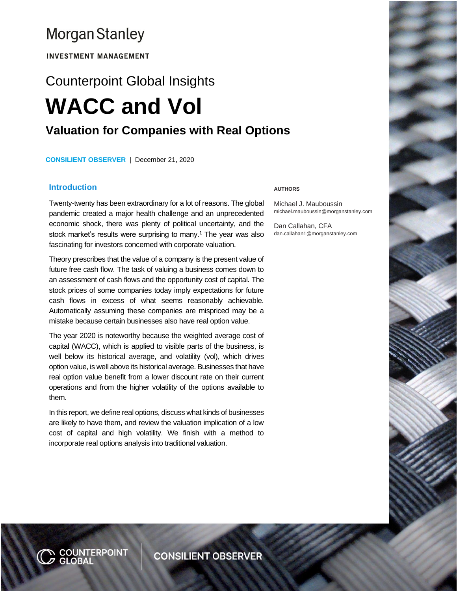## **Morgan Stanley**

**INVESTMENT MANAGEMENT** 

# Counterpoint Global Insights **WACC and Vol Valuation for Companies with Real Options**

**CONSILIENT OBSERVER** | December 21, 2020

#### **Introduction**

Twenty-twenty has been extraordinary for a lot of reasons. The global pandemic created a major health challenge and an unprecedented economic shock, there was plenty of political uncertainty, and the stock market's results were surprising to many.<sup>1</sup> The year was also fascinating for investors concerned with corporate valuation.

Theory prescribes that the value of a company is the present value of future free cash flow. The task of valuing a business comes down to an assessment of cash flows and the opportunity cost of capital. The stock prices of some companies today imply expectations for future cash flows in excess of what seems reasonably achievable. Automatically assuming these companies are mispriced may be a mistake because certain businesses also have real option value.

The year 2020 is noteworthy because the weighted average cost of capital (WACC), which is applied to visible parts of the business, is well below its historical average, and volatility (vol), which drives option value, is well above its historical average. Businesses that have real option value benefit from a lower discount rate on their current operations and from the higher volatility of the options available to them.

In this report, we define real options, discuss what kinds of businesses are likely to have them, and review the valuation implication of a low cost of capital and high volatility. We finish with a method to incorporate real options analysis into traditional valuation.

#### **AUTHORS**

Michael J. Mauboussin michael.mauboussin@morganstanley.com

Dan Callahan, CFA dan.callahan1@morganstanley.com

N <mark>COUNTERP</mark>OINT<br>Ø GLOBAL

**CONSILIENT OBSERVER**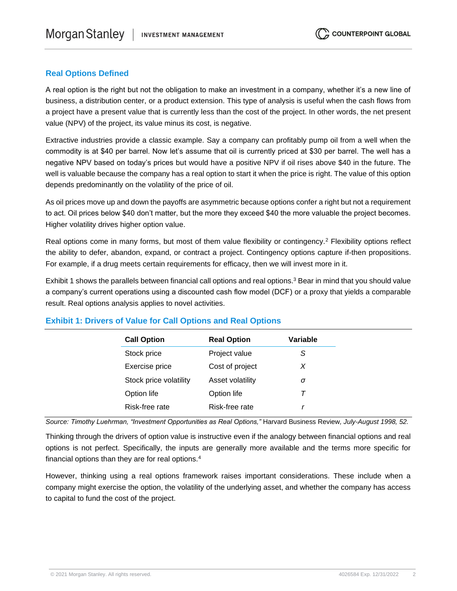## **Real Options Defined**

A real option is the right but not the obligation to make an investment in a company, whether it's a new line of business, a distribution center, or a product extension. This type of analysis is useful when the cash flows from a project have a present value that is currently less than the cost of the project. In other words, the net present value (NPV) of the project, its value minus its cost, is negative.

Extractive industries provide a classic example. Say a company can profitably pump oil from a well when the commodity is at \$40 per barrel. Now let's assume that oil is currently priced at \$30 per barrel. The well has a negative NPV based on today's prices but would have a positive NPV if oil rises above \$40 in the future. The well is valuable because the company has a real option to start it when the price is right. The value of this option depends predominantly on the volatility of the price of oil.

As oil prices move up and down the payoffs are asymmetric because options confer a right but not a requirement to act. Oil prices below \$40 don't matter, but the more they exceed \$40 the more valuable the project becomes. Higher volatility drives higher option value.

Real options come in many forms, but most of them value flexibility or contingency.<sup>2</sup> Flexibility options reflect the ability to defer, abandon, expand, or contract a project. Contingency options capture if-then propositions. For example, if a drug meets certain requirements for efficacy, then we will invest more in it.

Exhibit 1 shows the parallels between financial call options and real options.<sup>3</sup> Bear in mind that you should value a company's current operations using a discounted cash flow model (DCF) or a proxy that yields a comparable result. Real options analysis applies to novel activities.

| <b>Real Option</b> | Variable |
|--------------------|----------|
| Project value      | S.       |
| Cost of project    | X        |
| Asset volatility   | σ        |
| Option life        |          |
| Risk-free rate     |          |
|                    |          |

## **Exhibit 1: Drivers of Value for Call Options and Real Options**

*Source: Timothy Luehrman, "Investment Opportunities as Real Options,"* Harvard Business Review*, July-August 1998, 52.*

Thinking through the drivers of option value is instructive even if the analogy between financial options and real options is not perfect. Specifically, the inputs are generally more available and the terms more specific for financial options than they are for real options.<sup>4</sup>

However, thinking using a real options framework raises important considerations. These include when a company might exercise the option, the volatility of the underlying asset, and whether the company has access to capital to fund the cost of the project.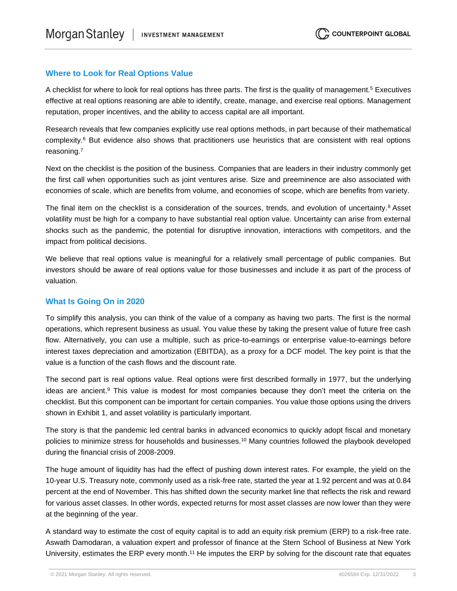## **Where to Look for Real Options Value**

A checklist for where to look for real options has three parts. The first is the quality of management.<sup>5</sup> Executives effective at real options reasoning are able to identify, create, manage, and exercise real options. Management reputation, proper incentives, and the ability to access capital are all important.

Research reveals that few companies explicitly use real options methods, in part because of their mathematical complexity.<sup>6</sup> But evidence also shows that practitioners use heuristics that are consistent with real options reasoning.<sup>7</sup>

Next on the checklist is the position of the business. Companies that are leaders in their industry commonly get the first call when opportunities such as joint ventures arise. Size and preeminence are also associated with economies of scale, which are benefits from volume, and economies of scope, which are benefits from variety.

The final item on the checklist is a consideration of the sources, trends, and evolution of uncertainty.<sup>8</sup> Asset volatility must be high for a company to have substantial real option value. Uncertainty can arise from external shocks such as the pandemic, the potential for disruptive innovation, interactions with competitors, and the impact from political decisions.

We believe that real options value is meaningful for a relatively small percentage of public companies. But investors should be aware of real options value for those businesses and include it as part of the process of valuation.

#### **What Is Going On in 2020**

To simplify this analysis, you can think of the value of a company as having two parts. The first is the normal operations, which represent business as usual. You value these by taking the present value of future free cash flow. Alternatively, you can use a multiple, such as price-to-earnings or enterprise value-to-earnings before interest taxes depreciation and amortization (EBITDA), as a proxy for a DCF model. The key point is that the value is a function of the cash flows and the discount rate.

The second part is real options value. Real options were first described formally in 1977, but the underlying ideas are ancient.<sup>9</sup> This value is modest for most companies because they don't meet the criteria on the checklist. But this component can be important for certain companies. You value those options using the drivers shown in Exhibit 1, and asset volatility is particularly important.

The story is that the pandemic led central banks in advanced economics to quickly adopt fiscal and monetary policies to minimize stress for households and businesses.<sup>10</sup> Many countries followed the playbook developed during the financial crisis of 2008-2009.

The huge amount of liquidity has had the effect of pushing down interest rates. For example, the yield on the 10-year U.S. Treasury note, commonly used as a risk-free rate, started the year at 1.92 percent and was at 0.84 percent at the end of November. This has shifted down the security market line that reflects the risk and reward for various asset classes. In other words, expected returns for most asset classes are now lower than they were at the beginning of the year.

A standard way to estimate the cost of equity capital is to add an equity risk premium (ERP) to a risk-free rate. Aswath Damodaran, a valuation expert and professor of finance at the Stern School of Business at New York University, estimates the ERP every month.<sup>11</sup> He imputes the ERP by solving for the discount rate that equates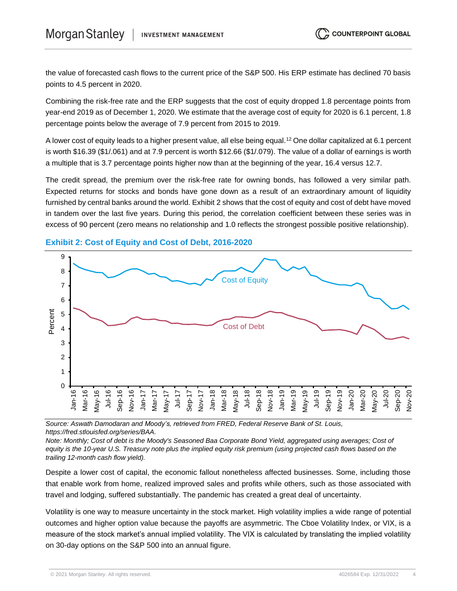the value of forecasted cash flows to the current price of the S&P 500. His ERP estimate has declined 70 basis points to 4.5 percent in 2020.

Combining the risk-free rate and the ERP suggests that the cost of equity dropped 1.8 percentage points from year-end 2019 as of December 1, 2020. We estimate that the average cost of equity for 2020 is 6.1 percent, 1.8 percentage points below the average of 7.9 percent from 2015 to 2019.

A lower cost of equity leads to a higher present value, all else being equal.<sup>12</sup> One dollar capitalized at 6.1 percent is worth \$16.39 (\$1/.061) and at 7.9 percent is worth \$12.66 (\$1/.079). The value of a dollar of earnings is worth a multiple that is 3.7 percentage points higher now than at the beginning of the year, 16.4 versus 12.7.

The credit spread, the premium over the risk-free rate for owning bonds, has followed a very similar path. Expected returns for stocks and bonds have gone down as a result of an extraordinary amount of liquidity furnished by central banks around the world. Exhibit 2 shows that the cost of equity and cost of debt have moved in tandem over the last five years. During this period, the correlation coefficient between these series was in excess of 90 percent (zero means no relationship and 1.0 reflects the strongest possible positive relationship).



## **Exhibit 2: Cost of Equity and Cost of Debt, 2016-2020**

*Source: Aswath Damodaran and Moody's, retrieved from FRED, Federal Reserve Bank of St. Louis, https://fred.stlouisfed.org/series/BAA.*

*Note: Monthly; Cost of debt is the Moody's Seasoned Baa Corporate Bond Yield, aggregated using averages; Cost of equity is the 10-year U.S. Treasury note plus the implied equity risk premium (using projected cash flows based on the trailing 12-month cash flow yield).*

Despite a lower cost of capital, the economic fallout nonetheless affected businesses. Some, including those that enable work from home, realized improved sales and profits while others, such as those associated with travel and lodging, suffered substantially. The pandemic has created a great deal of uncertainty.

Volatility is one way to measure uncertainty in the stock market. High volatility implies a wide range of potential outcomes and higher option value because the payoffs are asymmetric. The Cboe Volatility Index, or VIX, is a measure of the stock market's annual implied volatility. The VIX is calculated by translating the implied volatility on 30-day options on the S&P 500 into an annual figure.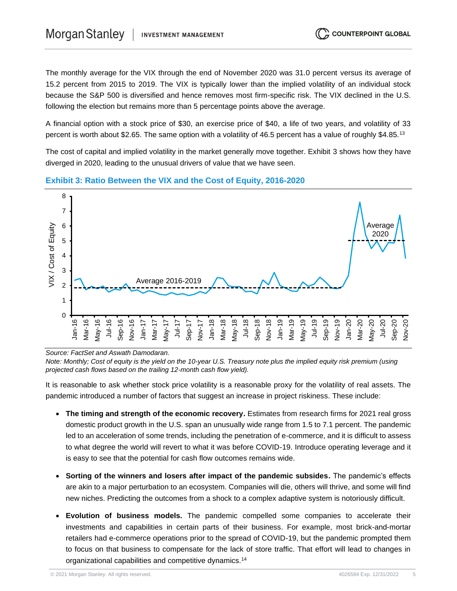The monthly average for the VIX through the end of November 2020 was 31.0 percent versus its average of 15.2 percent from 2015 to 2019. The VIX is typically lower than the implied volatility of an individual stock because the S&P 500 is diversified and hence removes most firm-specific risk. The VIX declined in the U.S. following the election but remains more than 5 percentage points above the average.

A financial option with a stock price of \$30, an exercise price of \$40, a life of two years, and volatility of 33 percent is worth about \$2.65. The same option with a volatility of 46.5 percent has a value of roughly \$4.85.<sup>13</sup>

The cost of capital and implied volatility in the market generally move together. Exhibit 3 shows how they have diverged in 2020, leading to the unusual drivers of value that we have seen.



#### **Exhibit 3: Ratio Between the VIX and the Cost of Equity, 2016-2020**

*Source: FactSet and Aswath Damodaran.*

*Note: Monthly; Cost of equity is the yield on the 10-year U.S. Treasury note plus the implied equity risk premium (using projected cash flows based on the trailing 12-month cash flow yield).*

It is reasonable to ask whether stock price volatility is a reasonable proxy for the volatility of real assets. The pandemic introduced a number of factors that suggest an increase in project riskiness. These include:

- **The timing and strength of the economic recovery.** Estimates from research firms for 2021 real gross domestic product growth in the U.S. span an unusually wide range from 1.5 to 7.1 percent. The pandemic led to an acceleration of some trends, including the penetration of e-commerce, and it is difficult to assess to what degree the world will revert to what it was before COVID-19. Introduce operating leverage and it is easy to see that the potential for cash flow outcomes remains wide.
- **Sorting of the winners and losers after impact of the pandemic subsides.** The pandemic's effects are akin to a major perturbation to an ecosystem. Companies will die, others will thrive, and some will find new niches. Predicting the outcomes from a shock to a complex adaptive system is notoriously difficult.
- **Evolution of business models.** The pandemic compelled some companies to accelerate their investments and capabilities in certain parts of their business. For example, most brick-and-mortar retailers had e-commerce operations prior to the spread of COVID-19, but the pandemic prompted them to focus on that business to compensate for the lack of store traffic. That effort will lead to changes in organizational capabilities and competitive dynamics.<sup>14</sup>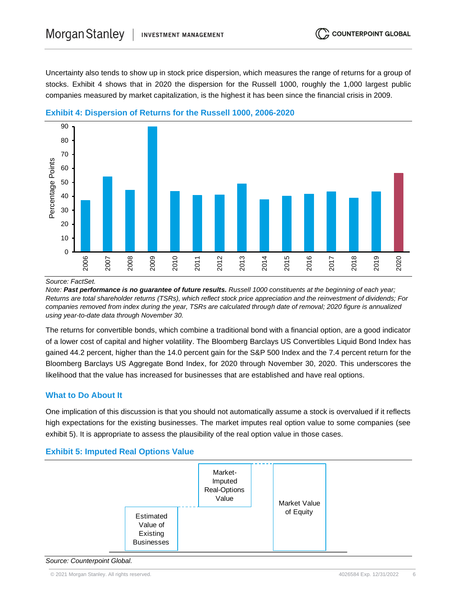Uncertainty also tends to show up in stock price dispersion, which measures the range of returns for a group of stocks. Exhibit 4 shows that in 2020 the dispersion for the Russell 1000, roughly the 1,000 largest public companies measured by market capitalization, is the highest it has been since the financial crisis in 2009.



#### **Exhibit 4: Dispersion of Returns for the Russell 1000, 2006-2020**

*Source: FactSet.*

*Note: Past performance is no guarantee of future results. Russell 1000 constituents at the beginning of each year; Returns are total shareholder returns (TSRs), which reflect stock price appreciation and the reinvestment of dividends; For companies removed from index during the year, TSRs are calculated through date of removal; 2020 figure is annualized using year-to-date data through November 30.*

The returns for convertible bonds, which combine a traditional bond with a financial option, are a good indicator of a lower cost of capital and higher volatility. The Bloomberg Barclays US Convertibles Liquid Bond Index has gained 44.2 percent, higher than the 14.0 percent gain for the S&P 500 Index and the 7.4 percent return for the Bloomberg Barclays US Aggregate Bond Index, for 2020 through November 30, 2020. This underscores the likelihood that the value has increased for businesses that are established and have real options.

## **What to Do About It**

One implication of this discussion is that you should not automatically assume a stock is overvalued if it reflects high expectations for the existing businesses. The market imputes real option value to some companies (see exhibit 5). It is appropriate to assess the plausibility of the real option value in those cases.

## **Exhibit 5: Imputed Real Options Value**



*Source: Counterpoint Global.*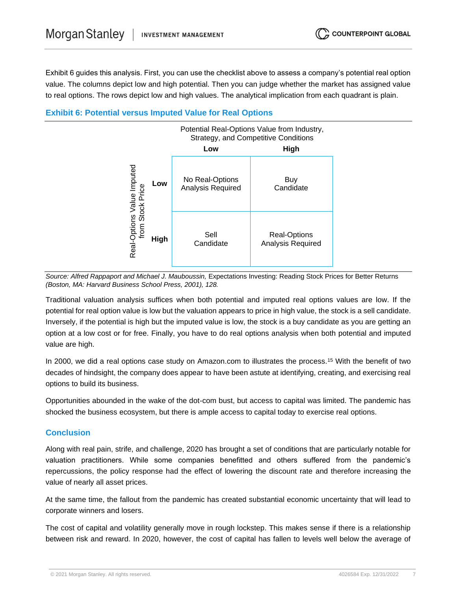Exhibit 6 guides this analysis. First, you can use the checklist above to assess a company's potential real option value. The columns depict low and high potential. Then you can judge whether the market has assigned value to real options. The rows depict low and high values. The analytical implication from each quadrant is plain.

## **Exhibit 6: Potential versus Imputed Value for Real Options**



*Source: Alfred Rappaport and Michael J. Mauboussin, Expectations Investing: Reading Stock Prices for Better Returns (Boston, MA: Harvard Business School Press, 2001), 128.*

Traditional valuation analysis suffices when both potential and imputed real options values are low. If the potential for real option value is low but the valuation appears to price in high value, the stock is a sell candidate. Inversely, if the potential is high but the imputed value is low, the stock is a buy candidate as you are getting an option at a low cost or for free. Finally, you have to do real options analysis when both potential and imputed value are high.

In 2000, we did a real options case study on Amazon.com to illustrates the process.<sup>15</sup> With the benefit of two decades of hindsight, the company does appear to have been astute at identifying, creating, and exercising real options to build its business.

Opportunities abounded in the wake of the dot-com bust, but access to capital was limited. The pandemic has shocked the business ecosystem, but there is ample access to capital today to exercise real options.

## **Conclusion**

Along with real pain, strife, and challenge, 2020 has brought a set of conditions that are particularly notable for valuation practitioners. While some companies benefitted and others suffered from the pandemic's repercussions, the policy response had the effect of lowering the discount rate and therefore increasing the value of nearly all asset prices.

At the same time, the fallout from the pandemic has created substantial economic uncertainty that will lead to corporate winners and losers.

The cost of capital and volatility generally move in rough lockstep. This makes sense if there is a relationship between risk and reward. In 2020, however, the cost of capital has fallen to levels well below the average of

© 2021 Morgan Stanley. All rights reserved. 4026584 Exp. 12/31/2022 7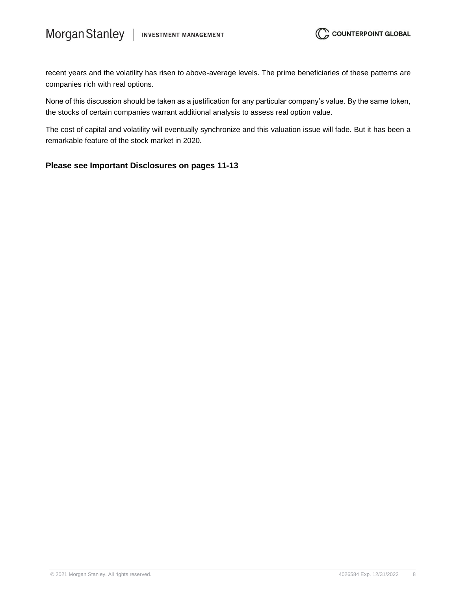recent years and the volatility has risen to above-average levels. The prime beneficiaries of these patterns are companies rich with real options.

None of this discussion should be taken as a justification for any particular company's value. By the same token, the stocks of certain companies warrant additional analysis to assess real option value.

The cost of capital and volatility will eventually synchronize and this valuation issue will fade. But it has been a remarkable feature of the stock market in 2020.

## **Please see Important Disclosures on pages 11-13**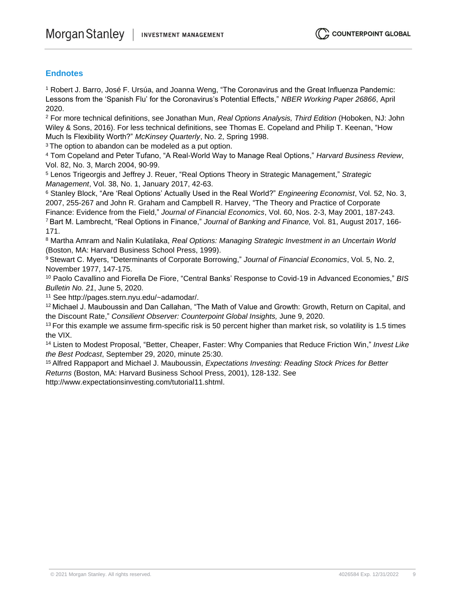## **Endnotes**

<sup>1</sup> Robert J. Barro, José F. Ursúa, and Joanna Weng, "The Coronavirus and the Great Influenza Pandemic: Lessons from the 'Spanish Flu' for the Coronavirus's Potential Effects," *NBER Working Paper 26866*, April 2020.

<sup>2</sup> For more technical definitions, see Jonathan Mun, *Real Options Analysis, Third Edition* (Hoboken, NJ: John Wiley & Sons, 2016). For less technical definitions, see Thomas E. Copeland and Philip T. Keenan, "How Much Is Flexibility Worth?" *McKinsey Quarterly*, No. 2, Spring 1998.

<sup>3</sup> The option to abandon can be modeled as a put option.

<sup>4</sup> Tom Copeland and Peter Tufano, "A Real-World Way to Manage Real Options," *Harvard Business Review*, Vol. 82, No. 3, March 2004, 90-99.

<sup>5</sup> Lenos Trigeorgis and Jeffrey J. Reuer, "Real Options Theory in Strategic Management," *Strategic Management*, Vol. 38, No. 1, January 2017, 42-63.

<sup>6</sup> Stanley Block, "Are 'Real Options' Actually Used in the Real World?" *Engineering Economist*, Vol. 52, No. 3, 2007, 255-267 and John R. Graham and Campbell R. Harvey, "The Theory and Practice of Corporate

Finance: Evidence from the Field," *Journal of Financial Economics*, Vol. 60, Nos. 2-3, May 2001, 187-243.

<sup>7</sup> Bart M. Lambrecht, "Real Options in Finance," *Journal of Banking and Finance,* Vol. 81, August 2017, 166- 171.

<sup>8</sup> Martha Amram and Nalin Kulatilaka, *Real Options: Managing Strategic Investment in an Uncertain World*  (Boston, MA: Harvard Business School Press, 1999).

<sup>9</sup>Stewart C. Myers, "Determinants of Corporate Borrowing," *Journal of Financial Economics*, Vol. 5, No. 2, November 1977, 147-175.

<sup>10</sup> Paolo Cavallino and Fiorella De Fiore, "Central Banks' Response to Covid-19 in Advanced Economies," *BIS Bulletin No. 21*, June 5, 2020.

<sup>11</sup> See http://pages.stern.nyu.edu/~adamodar/.

<sup>12</sup>Michael J. Mauboussin and Dan Callahan, "The Math of Value and Growth: Growth, Return on Capital, and the Discount Rate," *Consilient Observer: Counterpoint Global Insights,* June 9, 2020.

 $13$  For this example we assume firm-specific risk is 50 percent higher than market risk, so volatility is 1.5 times the VIX.

<sup>14</sup> Listen to Modest Proposal, "Better, Cheaper, Faster: Why Companies that Reduce Friction Win," *Invest Like the Best Podcast*, September 29, 2020, minute 25:30.

<sup>15</sup>Alfred Rappaport and Michael J. Mauboussin, *Expectations Investing: Reading Stock Prices for Better Returns* (Boston, MA: Harvard Business School Press, 2001), 128-132. See

http://www.expectationsinvesting.com/tutorial11.shtml.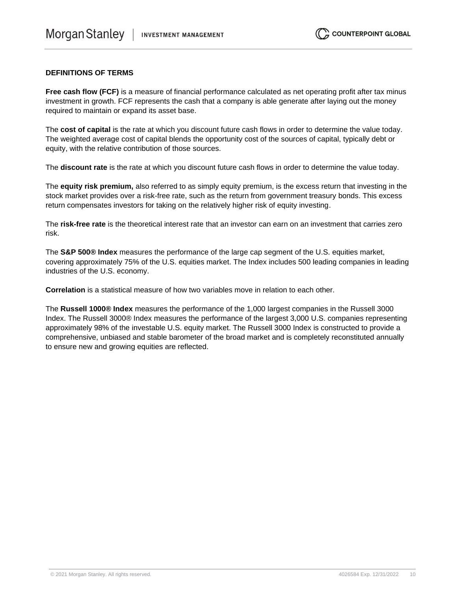#### **DEFINITIONS OF TERMS**

**Free cash flow (FCF)** is a measure of financial performance calculated as net operating profit after tax minus investment in growth. FCF represents the cash that a company is able generate after laying out the money required to maintain or expand its asset base.

The **cost of capital** is the rate at which you discount future cash flows in order to determine the value today. The weighted average cost of capital blends the opportunity cost of the sources of capital, typically debt or equity, with the relative contribution of those sources.

The **discount rate** is the rate at which you discount future cash flows in order to determine the value today.

The **equity risk premium,** also referred to as simply equity premium, is the excess return that investing in the stock market provides over a risk-free rate, such as the return from government treasury bonds. This excess return compensates investors for taking on the relatively higher risk of equity investing.

The **risk-free rate** is the theoretical interest rate that an investor can earn on an investment that carries zero risk.

The **S&P 500® Index** measures the performance of the large cap segment of the U.S. equities market, covering approximately 75% of the U.S. equities market. The Index includes 500 leading companies in leading industries of the U.S. economy.

**Correlation** is a statistical measure of how two variables move in relation to each other.

The **Russell 1000® Index** measures the performance of the 1,000 largest companies in the Russell 3000 Index. The Russell 3000® Index measures the performance of the largest 3,000 U.S. companies representing approximately 98% of the investable U.S. equity market. The Russell 3000 Index is constructed to provide a comprehensive, unbiased and stable barometer of the broad market and is completely reconstituted annually to ensure new and growing equities are reflected.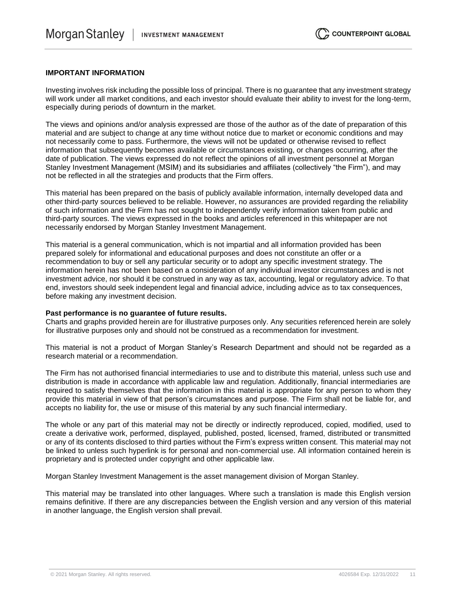#### **IMPORTANT INFORMATION**

Investing involves risk including the possible loss of principal. There is no guarantee that any investment strategy will work under all market conditions, and each investor should evaluate their ability to invest for the long-term, especially during periods of downturn in the market.

The views and opinions and/or analysis expressed are those of the author as of the date of preparation of this material and are subject to change at any time without notice due to market or economic conditions and may not necessarily come to pass. Furthermore, the views will not be updated or otherwise revised to reflect information that subsequently becomes available or circumstances existing, or changes occurring, after the date of publication. The views expressed do not reflect the opinions of all investment personnel at Morgan Stanley Investment Management (MSIM) and its subsidiaries and affiliates (collectively "the Firm"), and may not be reflected in all the strategies and products that the Firm offers.

This material has been prepared on the basis of publicly available information, internally developed data and other third-party sources believed to be reliable. However, no assurances are provided regarding the reliability of such information and the Firm has not sought to independently verify information taken from public and third-party sources. The views expressed in the books and articles referenced in this whitepaper are not necessarily endorsed by Morgan Stanley Investment Management.

This material is a general communication, which is not impartial and all information provided has been prepared solely for informational and educational purposes and does not constitute an offer or a recommendation to buy or sell any particular security or to adopt any specific investment strategy. The information herein has not been based on a consideration of any individual investor circumstances and is not investment advice, nor should it be construed in any way as tax, accounting, legal or regulatory advice. To that end, investors should seek independent legal and financial advice, including advice as to tax consequences, before making any investment decision.

#### **Past performance is no guarantee of future results.**

Charts and graphs provided herein are for illustrative purposes only. Any securities referenced herein are solely for illustrative purposes only and should not be construed as a recommendation for investment.

This material is not a product of Morgan Stanley's Research Department and should not be regarded as a research material or a recommendation.

The Firm has not authorised financial intermediaries to use and to distribute this material, unless such use and distribution is made in accordance with applicable law and regulation. Additionally, financial intermediaries are required to satisfy themselves that the information in this material is appropriate for any person to whom they provide this material in view of that person's circumstances and purpose. The Firm shall not be liable for, and accepts no liability for, the use or misuse of this material by any such financial intermediary.

The whole or any part of this material may not be directly or indirectly reproduced, copied, modified, used to create a derivative work, performed, displayed, published, posted, licensed, framed, distributed or transmitted or any of its contents disclosed to third parties without the Firm's express written consent. This material may not be linked to unless such hyperlink is for personal and non-commercial use. All information contained herein is proprietary and is protected under copyright and other applicable law.

Morgan Stanley Investment Management is the asset management division of Morgan Stanley.

This material may be translated into other languages. Where such a translation is made this English version remains definitive. If there are any discrepancies between the English version and any version of this material in another language, the English version shall prevail.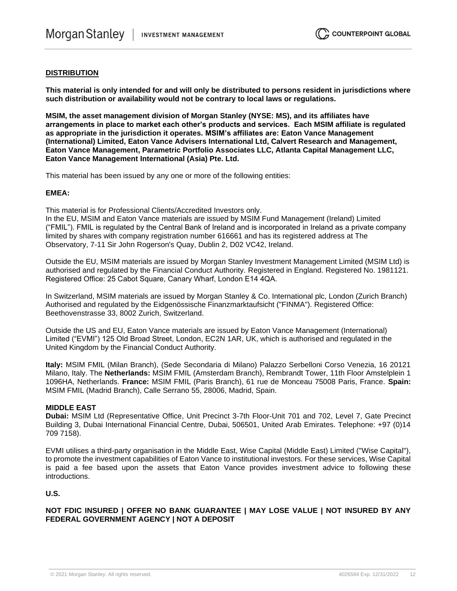#### **DISTRIBUTION**

**This material is only intended for and will only be distributed to persons resident in jurisdictions where such distribution or availability would not be contrary to local laws or regulations.** 

**MSIM, the asset management division of Morgan Stanley (NYSE: MS), and its affiliates have arrangements in place to market each other's products and services. Each MSIM affiliate is regulated as appropriate in the jurisdiction it operates. MSIM's affiliates are: Eaton Vance Management (International) Limited, Eaton Vance Advisers International Ltd, Calvert Research and Management, Eaton Vance Management, Parametric Portfolio Associates LLC, Atlanta Capital Management LLC, Eaton Vance Management International (Asia) Pte. Ltd.**

This material has been issued by any one or more of the following entities:

#### **EMEA:**

This material is for Professional Clients/Accredited Investors only.

In the EU, MSIM and Eaton Vance materials are issued by MSIM Fund Management (Ireland) Limited ("FMIL"). FMIL is regulated by the Central Bank of Ireland and is incorporated in Ireland as a private company limited by shares with company registration number 616661 and has its registered address at The Observatory, 7-11 Sir John Rogerson's Quay, Dublin 2, D02 VC42, Ireland.

Outside the EU, MSIM materials are issued by Morgan Stanley Investment Management Limited (MSIM Ltd) is authorised and regulated by the Financial Conduct Authority. Registered in England. Registered No. 1981121. Registered Office: 25 Cabot Square, Canary Wharf, London E14 4QA.

In Switzerland, MSIM materials are issued by Morgan Stanley & Co. International plc, London (Zurich Branch) Authorised and regulated by the Eidgenössische Finanzmarktaufsicht ("FINMA"). Registered Office: Beethovenstrasse 33, 8002 Zurich, Switzerland.

Outside the US and EU, Eaton Vance materials are issued by Eaton Vance Management (International) Limited ("EVMI") 125 Old Broad Street, London, EC2N 1AR, UK, which is authorised and regulated in the United Kingdom by the Financial Conduct Authority.

**Italy:** MSIM FMIL (Milan Branch), (Sede Secondaria di Milano) Palazzo Serbelloni Corso Venezia, 16 20121 Milano, Italy. The **Netherlands:** MSIM FMIL (Amsterdam Branch), Rembrandt Tower, 11th Floor Amstelplein 1 1096HA, Netherlands. **France:** MSIM FMIL (Paris Branch), 61 rue de Monceau 75008 Paris, France. **Spain:**  MSIM FMIL (Madrid Branch), Calle Serrano 55, 28006, Madrid, Spain.

#### **MIDDLE EAST**

**Dubai:** MSIM Ltd (Representative Office, Unit Precinct 3-7th Floor-Unit 701 and 702, Level 7, Gate Precinct Building 3, Dubai International Financial Centre, Dubai, 506501, United Arab Emirates. Telephone: +97 (0)14 709 7158).

EVMI utilises a third-party organisation in the Middle East, Wise Capital (Middle East) Limited ("Wise Capital"), to promote the investment capabilities of Eaton Vance to institutional investors. For these services, Wise Capital is paid a fee based upon the assets that Eaton Vance provides investment advice to following these introductions.

### **U.S.**

**NOT FDIC INSURED | OFFER NO BANK GUARANTEE | MAY LOSE VALUE | NOT INSURED BY ANY FEDERAL GOVERNMENT AGENCY | NOT A DEPOSIT**